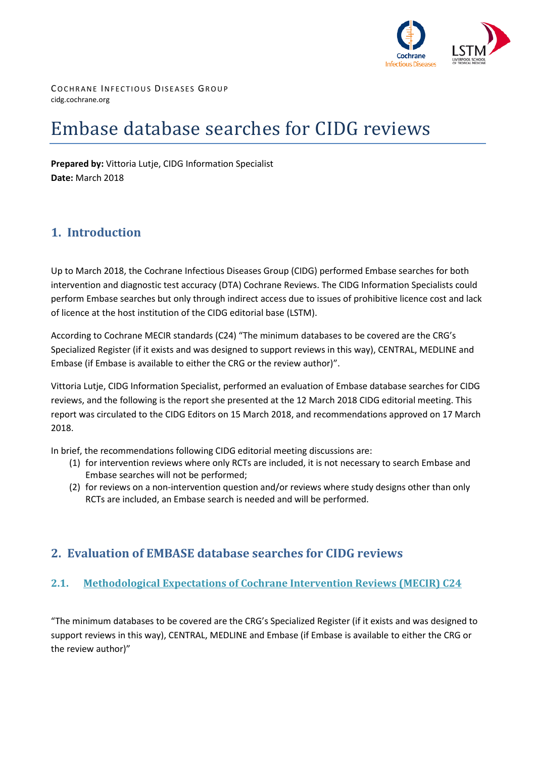

COCHRANE INFECTIOUS DISEASES GROUP cidg.cochrane.org

# Embase database searches for CIDG reviews

**Prepared by:** Vittoria Lutje, CIDG Information Specialist **Date:** March 2018

# **1. Introduction**

Up to March 2018, the Cochrane Infectious Diseases Group (CIDG) performed Embase searches for both intervention and diagnostic test accuracy (DTA) Cochrane Reviews. The CIDG Information Specialists could perform Embase searches but only through indirect access due to issues of prohibitive licence cost and lack of licence at the host institution of the CIDG editorial base (LSTM).

According to Cochrane MECIR standards (C24) "The minimum databases to be covered are the CRG's Specialized Register (if it exists and was designed to support reviews in this way), CENTRAL, MEDLINE and Embase (if Embase is available to either the CRG or the review author)".

Vittoria Lutje, CIDG Information Specialist, performed an evaluation of Embase database searches for CIDG reviews, and the following is the report she presented at the 12 March 2018 CIDG editorial meeting. This report was circulated to the CIDG Editors on 15 March 2018, and recommendations approved on 17 March 2018.

In brief, the recommendations following CIDG editorial meeting discussions are:

- (1) for intervention reviews where only RCTs are included, it is not necessary to search Embase and Embase searches will not be performed;
- (2) for reviews on a non-intervention question and/or reviews where study designs other than only RCTs are included, an Embase search is needed and will be performed.

# **2. Evaluation of EMBASE database searches for CIDG reviews**

## **2.1. Methodological Expectations of Cochrane Intervention Reviews (MECIR) C24**

"The minimum databases to be covered are the CRG's Specialized Register (if it exists and was designed to support reviews in this way), CENTRAL, MEDLINE and Embase (if Embase is available to either the CRG or the review author)"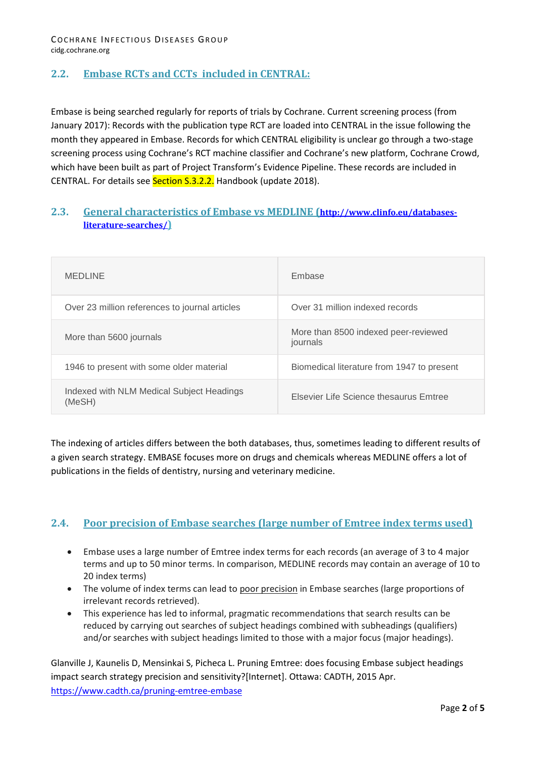# **2.2. Embase RCTs and CCTs included in CENTRAL:**

Embase is being searched regularly for reports of trials by Cochrane. Current screening process (from January 2017): Records with the publication type RCT are loaded into CENTRAL in the issue following the month they appeared in Embase. Records for which CENTRAL eligibility is unclear go through a two-stage screening process using Cochrane's RCT machine classifier and Cochrane's new platform, Cochrane Crowd, which have been built as part of Project Transform's Evidence Pipeline. These records are included in CENTRAL. For details see Section S.3.2.2. Handbook (update 2018).

### **2.3. General characteristics of Embase vs MEDLINE [\(http://www.clinfo.eu/databases](http://www.clinfo.eu/databases-literature-searches/)[literature-searches/\)](http://www.clinfo.eu/databases-literature-searches/)**

| <b>MEDLINE</b>                                      | Embase                                           |
|-----------------------------------------------------|--------------------------------------------------|
| Over 23 million references to journal articles      | Over 31 million indexed records                  |
| More than 5600 journals                             | More than 8500 indexed peer-reviewed<br>journals |
| 1946 to present with some older material            | Biomedical literature from 1947 to present       |
| Indexed with NLM Medical Subject Headings<br>(MeSH) | Elsevier Life Science thesaurus Emtree           |

The indexing of articles differs between the both databases, thus, sometimes leading to different results of a given search strategy. EMBASE focuses more on drugs and chemicals whereas MEDLINE offers a lot of publications in the fields of dentistry, nursing and veterinary medicine.

#### **2.4. Poor precision of Embase searches (large number of Emtree index terms used)**

- Embase uses a large number of Emtree index terms for each records (an average of 3 to 4 major terms and up to 50 minor terms. In comparison, MEDLINE records may contain an average of 10 to 20 index terms)
- The volume of index terms can lead to poor precision in Embase searches (large proportions of irrelevant records retrieved).
- This experience has led to informal, pragmatic recommendations that search results can be reduced by carrying out searches of subject headings combined with subheadings (qualifiers) and/or searches with subject headings limited to those with a major focus (major headings).

Glanville J, Kaunelis D, Mensinkai S, Picheca L. Pruning Emtree: does focusing Embase subject headings impact search strategy precision and sensitivity?[Internet]. Ottawa: CADTH, 2015 Apr. <https://www.cadth.ca/pruning-emtree-embase>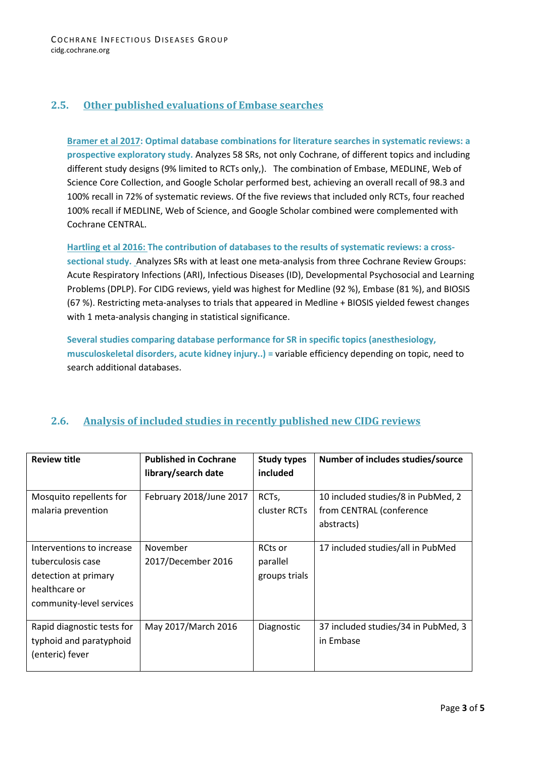## **2.5. Other published evaluations of Embase searches**

**Bramer et al 2017: Optimal database combinations for literature searches in systematic reviews: a prospective exploratory study.** Analyzes 58 SRs, not only Cochrane, of different topics and including different study designs (9% limited to RCTs only,). The combination of Embase, MEDLINE, Web of Science Core Collection, and Google Scholar performed best, achieving an overall recall of 98.3 and 100% recall in 72% of systematic reviews. Of the five reviews that included only RCTs, four reached 100% recall if MEDLINE, Web of Science, and Google Scholar combined were complemented with Cochrane CENTRAL.

**Hartling et al 2016: The contribution of databases to the results of systematic reviews: a cross-**

**sectional study.** Analyzes SRs with at least one meta-analysis from three Cochrane Review Groups: Acute Respiratory Infections (ARI), Infectious Diseases (ID), Developmental Psychosocial and Learning Problems (DPLP). For CIDG reviews, yield was highest for Medline (92 %), Embase (81 %), and BIOSIS (67 %). Restricting meta-analyses to trials that appeared in Medline + BIOSIS yielded fewest changes with 1 meta-analysis changing in statistical significance.

**Several studies comparing database performance for SR in specific topics (anesthesiology, musculoskeletal disorders, acute kidney injury..) =** variable efficiency depending on topic, need to search additional databases.

## **2.6. Analysis of included studies in recently published new CIDG reviews**

| <b>Review title</b>                                                                                                 | <b>Published in Cochrane</b><br>library/search date | <b>Study types</b><br>included       | Number of includes studies/source                |
|---------------------------------------------------------------------------------------------------------------------|-----------------------------------------------------|--------------------------------------|--------------------------------------------------|
|                                                                                                                     |                                                     |                                      |                                                  |
| Mosquito repellents for                                                                                             | February 2018/June 2017                             | RCT <sub>s</sub>                     | 10 included studies/8 in PubMed, 2               |
| malaria prevention                                                                                                  |                                                     | cluster RCTs                         | from CENTRAL (conference                         |
|                                                                                                                     |                                                     |                                      | abstracts)                                       |
| Interventions to increase<br>tuberculosis case<br>detection at primary<br>healthcare or<br>community-level services | November<br>2017/December 2016                      | RCts or<br>parallel<br>groups trials | 17 included studies/all in PubMed                |
| Rapid diagnostic tests for<br>typhoid and paratyphoid<br>(enteric) fever                                            | May 2017/March 2016                                 | Diagnostic                           | 37 included studies/34 in PubMed, 3<br>in Embase |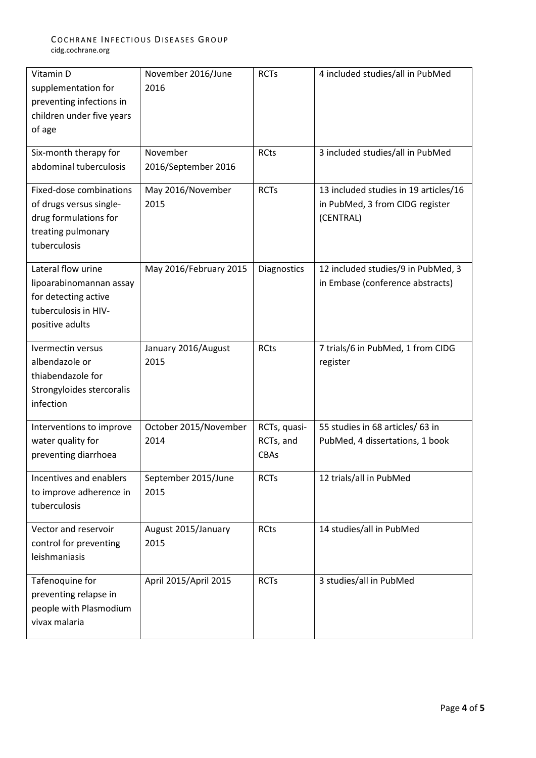| Vitamin D<br>supplementation for<br>preventing infections in<br>children under five years<br>of age               | November 2016/June<br>2016      | <b>RCTs</b>                       | 4 included studies/all in PubMed                                                      |
|-------------------------------------------------------------------------------------------------------------------|---------------------------------|-----------------------------------|---------------------------------------------------------------------------------------|
| Six-month therapy for<br>abdominal tuberculosis                                                                   | November<br>2016/September 2016 | <b>RCts</b>                       | 3 included studies/all in PubMed                                                      |
| Fixed-dose combinations<br>of drugs versus single-<br>drug formulations for<br>treating pulmonary<br>tuberculosis | May 2016/November<br>2015       | <b>RCTs</b>                       | 13 included studies in 19 articles/16<br>in PubMed, 3 from CIDG register<br>(CENTRAL) |
| Lateral flow urine<br>lipoarabinomannan assay<br>for detecting active<br>tuberculosis in HIV-<br>positive adults  | May 2016/February 2015          | Diagnostics                       | 12 included studies/9 in PubMed, 3<br>in Embase (conference abstracts)                |
| Ivermectin versus<br>albendazole or<br>thiabendazole for<br>Strongyloides stercoralis<br>infection                | January 2016/August<br>2015     | <b>RCts</b>                       | 7 trials/6 in PubMed, 1 from CIDG<br>register                                         |
| Interventions to improve<br>water quality for<br>preventing diarrhoea                                             | October 2015/November<br>2014   | RCTs, quasi-<br>RCTs, and<br>CBAs | 55 studies in 68 articles/ 63 in<br>PubMed, 4 dissertations, 1 book                   |
| Incentives and enablers<br>to improve adherence in<br>tuberculosis                                                | September 2015/June<br>2015     | <b>RCTs</b>                       | 12 trials/all in PubMed                                                               |
| Vector and reservoir<br>control for preventing<br>leishmaniasis                                                   | August 2015/January<br>2015     | <b>RCts</b>                       | 14 studies/all in PubMed                                                              |
| Tafenoquine for<br>preventing relapse in<br>people with Plasmodium<br>vivax malaria                               | April 2015/April 2015           | <b>RCTs</b>                       | 3 studies/all in PubMed                                                               |